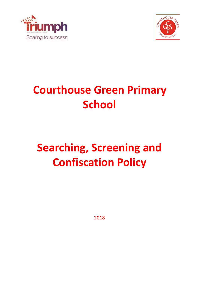



## **Courthouse Green Primary School**

# **Searching, Screening and Confiscation Policy**

2018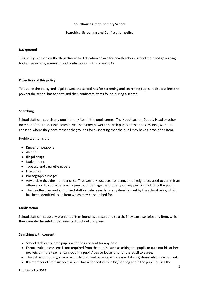## **Courthouse Green Primary School**

## **Searching, Screening and Confiscation policy**

## **Background**

This policy is based on the Department for Education advice for headteachers, school staff and governing bodies 'Searching, screening and confiscation' DfE January 2018

## **Objectives of this policy**

To outline the policy and legal powers the school has for screening and searching pupils. It also outlines the powers the school has to seize and then confiscate items found during a search.

## **Searching**

School staff can search any pupil for any item if the pupil agrees. The Headteacher, Deputy Head or other member of the Leadership Team have a statutory power to search pupils or their possessions, without consent, where they have reasonable grounds for suspecting that the pupil may have a prohibited item.

Prohibited items are:

- Knives or weapons
- Alcohol
- Illegal drugs
- Stolen items
- Tobacco and cigarette papers
- Fireworks
- Pornographic images
- Any article that the member of staff reasonably suspects has been, or is likely to be, used to commit an offence, or to cause personal injury to, or damage the property of, any person (including the pupil).
- The headteacher and authorised staff can also search for any item banned by the school rules, which has been identified as an item which may be searched for.

#### **Confiscation**

School staff can seize any prohibited item found as a result of a search. They can also seize any item, which they consider harmful or detrimental to school discipline.

#### **Searching with consent:**

- School staff can search pupils with their consent for any item
- Formal written consent is not required from the pupils (such as asking the pupils to turn out his or her pockets or if the teacher can look in a pupils' bag or locker and for the pupil to agree.
- The behaviour policy, shared with children and parents, will clearly state any items which are banned.
- If a member of staff suspects a pupil has a banned item in his/her bag and if the pupil refuses the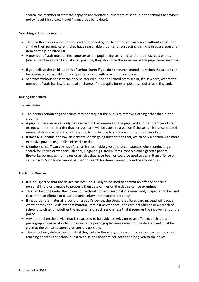search, the member of staff can apply an appropriate punishment as set out in the school's behaviour policy (level 3 insolence/ level 4 dangerous behaviour).

## **Searching without consent:**

- The headteacher or a member of staff authorised by the headteacher can search without consent of child or their parent/ carer if they have reasonable grounds for suspecting a child is in possession of an item on the prohibited list.
- A member of staff must be the same sex as the pupil being searched; and there must be a witness (also a member of staff) and, if at all possible, they should be the same sex as the pupil being searched.
- If you believe the child is at risk of serious harm if you do not search immediately then the search can be conducted on a child of the opposite sex and with or without a witness.
- Searches without consent can only be carried out on the school premises or, if elsewhere, where the member of staff has lawful control or charge of the pupils, for example on school trips in England.

## **During the search**

The law states:

- The person conducting the search may not request the pupils to remove clothing other than outer clothing
- A pupil's possessions can only be searched in the presence of the pupil and another member of staff, except where there is a risk that serious harm will be cause to a person if the search is not conducted immediately and where it is not reasonably practicable to summon another member of staff.
- It does NOT enable or allow an intimate search going further than that, which only a person with more extensive powers (e.g. police officer) can do.
- Members of staff can use such force as is reasonable given the circumstances when conducting a search for knives or weapons, alcohol, illegal drugs, stolen items, tobacco and cigarette papers, fireworks, pornographic images or articles that have been or could be used to commit an offence or cause harm. Such force cannot be used to search for items banned under the school rules.

#### **Electronic Devices**

- If it is suspected that the device has been or is likely to be used to commit an offence or cause personal injury or damage to property then data or files on the device can be examined.
- This can be done under the powers of 'without consent' search if it is reasonably suspected to be used to commit an offence or cause personal injury or damage to property.
- If inappropriate material is found on a pupil's device, the Designated Safeguarding Lead will decide whether they should delete that material, retain it as evidence (of a criminal offence or a breach of school discipline) or whether the material is of such seriousness that it requires the involvement of the police.
- Any material on the device that is suspected to be evidence relevant to an offence, or that is a pornographic image of a child or an extreme pornographic image must not be deleted and must be given to the police as soon as reasonably possible.
- The school may delete files or data if they believe there is good reason (it could cause harm, disrupt teaching or break the school rules) to do so and they are not needed to be given to the police.